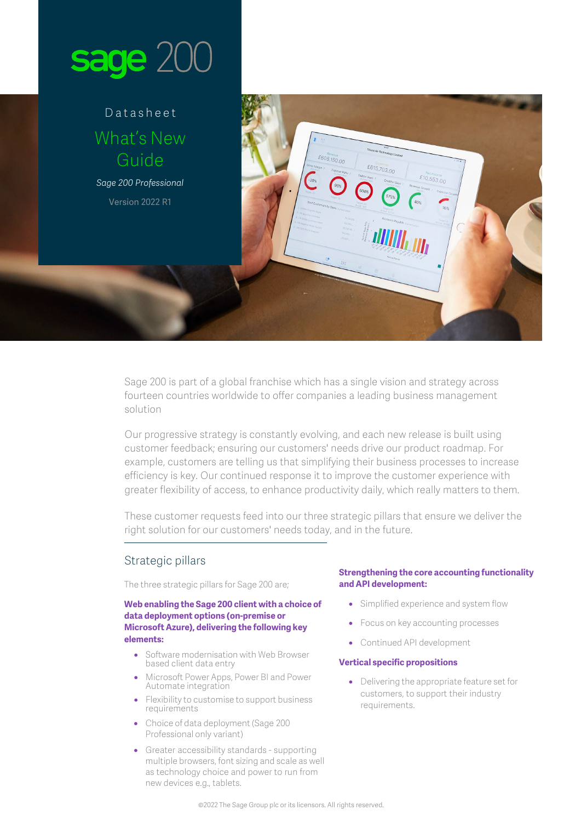

# Datasheet What's New Guide

*Sage 200 Professional* Version 2022 R1

> Sage 200 is part of a global franchise which has a single vision and strategy across fourteen countries worldwide to offer companies a leading business management solution

Our progressive strategy is constantly evolving, and each new release is built using customer feedback; ensuring our customers' needs drive our product roadmap. For example, customers are telling us that simplifying their business processes to increase efficiency is key. Our continued response it to improve the customer experience with greater flexibility of access, to enhance productivity daily, which really matters to them.

£605,150.00

£615,703.00

 $£10,553,00$ 

These customer requests feed into our three strategic pillars that ensure we deliver the right solution for our customers' needs today, and in the future.

## Strategic pillars

The three strategic pillars for Sage 200 are;

## **Web enabling the Sage 200 client with a choice of data deployment options (on-premise or Microsoft Azure), delivering the following key elements:**

- Software modernisation with Web Browser based client data entry
- Microsoft Power Apps, Power BI and Power Automate integration
- Flexibility to customise to support business requirements
- Choice of data deployment (Sage 200 Professional only variant)
- Greater accessibility standards supporting multiple browsers, font sizing and scale as well as technology choice and power to run from new devices e.g., tablets.

## **Strengthening the core accounting functionality and API development:**

- Simplified experience and system flow
- Focus on key accounting processes
- Continued API development

#### **Vertical specific propositions**

• Delivering the appropriate feature set for customers, to support their industry requirements.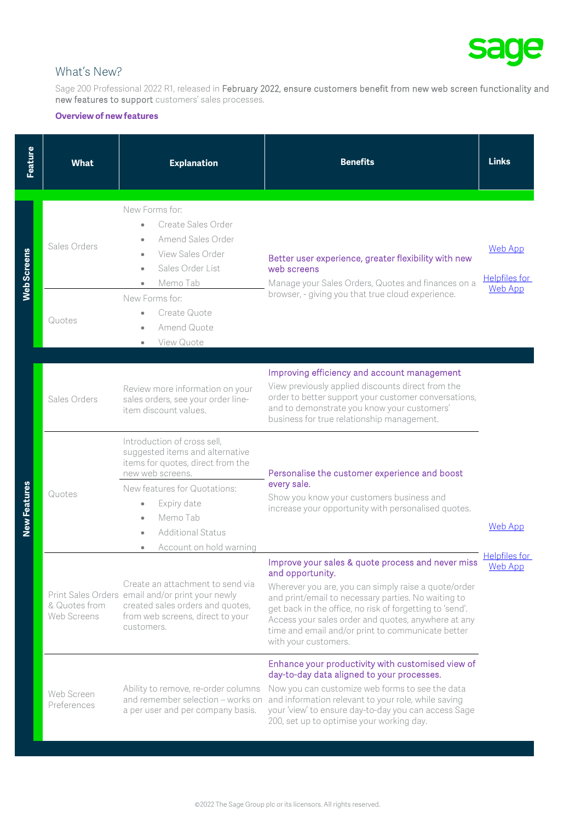

# What's New?

Sage 200 Professional 2022 R1, released in February 2022, ensure customers benefit from new web screen functionality and new features to support customers' sales processes.

#### **Overview of new features**

| Feature            | <b>What</b>                  | <b>Explanation</b>                                                                                                                                                                                                                                                                    | <b>Benefits</b>                                                                                                                                                                                                                                                                                                                                                                      | <b>Links</b>                                      |
|--------------------|------------------------------|---------------------------------------------------------------------------------------------------------------------------------------------------------------------------------------------------------------------------------------------------------------------------------------|--------------------------------------------------------------------------------------------------------------------------------------------------------------------------------------------------------------------------------------------------------------------------------------------------------------------------------------------------------------------------------------|---------------------------------------------------|
| <b>Web Screens</b> | Sales Orders                 | New Forms for:<br>Create Sales Order<br>$\bullet$<br>Amend Sales Order<br>$\bullet$<br>View Sales Order<br>$\bullet$<br>Sales Order List<br>$\bullet$<br>Memo Tab<br>$\bullet$<br>New Forms for:                                                                                      | Better user experience, greater flexibility with new<br>web screens<br>Manage your Sales Orders, Quotes and finances on a<br>browser, - giving you that true cloud experience.                                                                                                                                                                                                       | Web App<br><b>Helpfiles for</b><br><b>Web App</b> |
|                    | Quotes                       | Create Quote<br>$\bullet$<br>Amend Quote<br>$\bullet$<br>View Quote<br>$\bullet$                                                                                                                                                                                                      |                                                                                                                                                                                                                                                                                                                                                                                      |                                                   |
| New Features       | Sales Orders                 | Review more information on your<br>sales orders, see your order line-<br>item discount values.                                                                                                                                                                                        | Improving efficiency and account management<br>View previously applied discounts direct from the<br>order to better support your customer conversations,<br>and to demonstrate you know your customers'<br>business for true relationship management.                                                                                                                                | <b>Web App</b>                                    |
|                    | Quotes                       | Introduction of cross sell,<br>suggested items and alternative<br>items for quotes, direct from the<br>new web screens.<br>New features for Quotations:<br>Expiry date<br>$\bullet$<br>Memo Tab<br>$\bullet$<br><b>Additional Status</b><br>$\bullet$<br>Account on hold warning<br>۰ | Personalise the customer experience and boost<br>every sale.<br>Show you know your customers business and<br>increase your opportunity with personalised quotes.                                                                                                                                                                                                                     |                                                   |
|                    | & Quotes from<br>Web Screens | Create an attachment to send via<br>Print Sales Orders email and/or print your newly<br>created sales orders and quotes,<br>from web screens, direct to your<br>customers.                                                                                                            | Improve your sales & quote process and never miss<br>and opportunity.<br>Wherever you are, you can simply raise a quote/order<br>and print/email to necessary parties. No waiting to<br>get back in the office, no risk of forgetting to 'send'.<br>Access your sales order and quotes, anywhere at any<br>time and email and/or print to communicate better<br>with your customers. | <b>Helpfiles for</b><br><b>Web App</b>            |
|                    | Web Screen<br>Preferences    | Ability to remove, re-order columns<br>and remember selection - works on<br>a per user and per company basis.                                                                                                                                                                         | Enhance your productivity with customised view of<br>day-to-day data aligned to your processes.<br>Now you can customize web forms to see the data<br>and information relevant to your role, while saving<br>your 'view' to ensure day-to-day you can access Sage<br>200, set up to optimise your working day.                                                                       |                                                   |